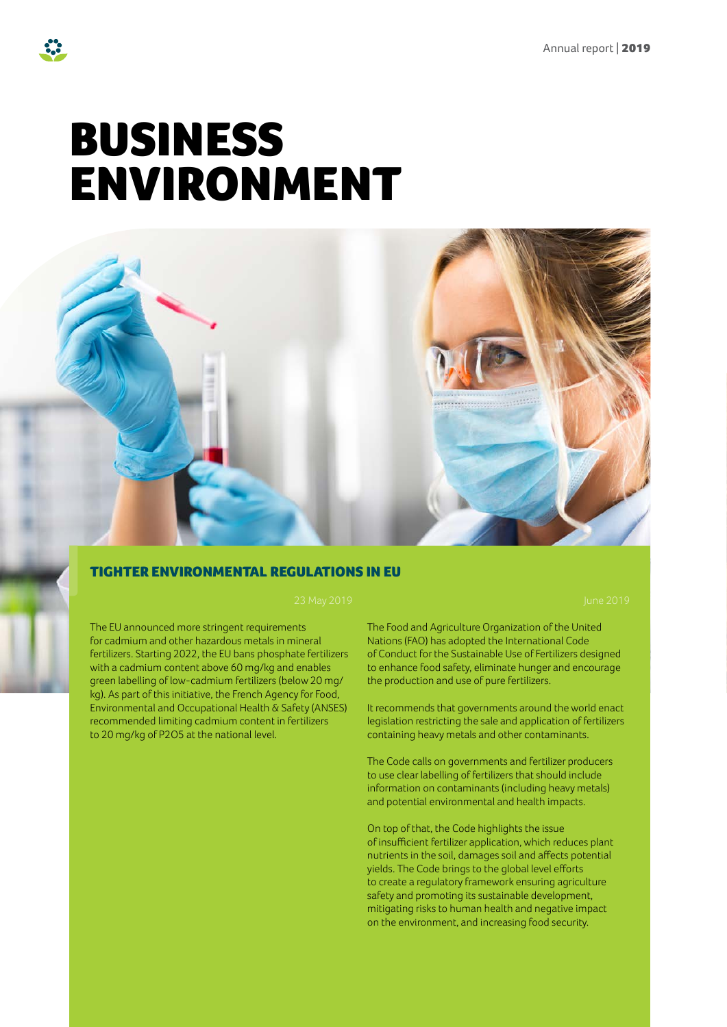# BUSINESS ENVIRONMENT



### TIGHTER ENVIRONMENTAL REGULATIONS IN EU

The EU announced more stringent requirements for cadmium and other hazardous metals in mineral fertilizers. Starting 2022, the EU bans phosphate fertilizers with a cadmium content above 60 mg/kg and enables green labelling of low-cadmium fertilizers (below 20 mg/ kg). As part of this initiative, the French Agency for Food, Environmental and Occupational Health & Safety (ANSES) recommended limiting cadmium content in fertilizers to 20 mg/kg of P2O5 at the national level.

The Food and Agriculture Organization of the United Nations (FAO) has adopted the International Code of Conduct for the Sustainable Use of Fertilizers designed to enhance food safety, eliminate hunger and encourage the production and use of pure fertilizers.

It recommends that governments around the world enact legislation restricting the sale and application of fertilizers containing heavy metals and other contaminants.

The Code calls on governments and fertilizer producers to use clear labelling of fertilizers that should include information on contaminants (including heavy metals) and potential environmental and health impacts.

On top of that, the Code highlights the issue of insufficient fertilizer application, which reduces plant nutrients in the soil, damages soil and affects potential yields. The Code brings to the global level efforts to create a regulatory framework ensuring agriculture safety and promoting its sustainable development, mitigating risks to human health and negative impact on the environment, and increasing food security.